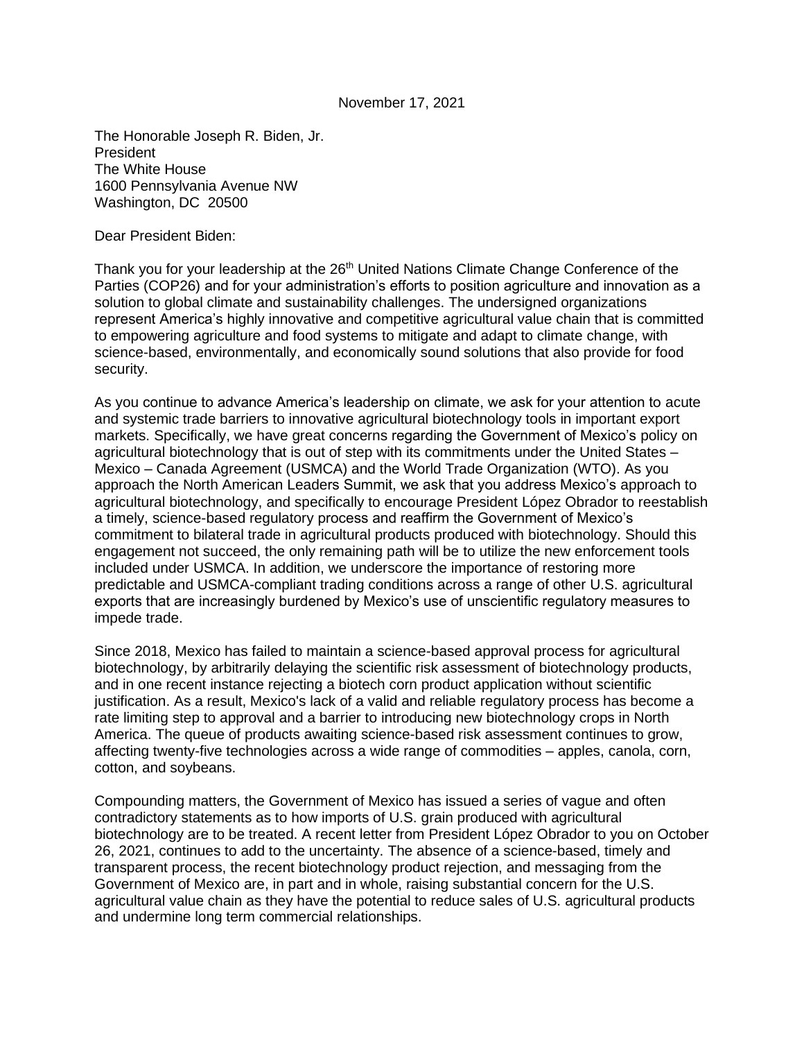## November 17, 2021

The Honorable Joseph R. Biden, Jr. President The White House 1600 Pennsylvania Avenue NW Washington, DC 20500

Dear President Biden:

Thank you for your leadership at the 26<sup>th</sup> United Nations Climate Change Conference of the Parties (COP26) and for your administration's efforts to position agriculture and innovation as a solution to global climate and sustainability challenges. The undersigned organizations represent America's highly innovative and competitive agricultural value chain that is committed to empowering agriculture and food systems to mitigate and adapt to climate change, with science-based, environmentally, and economically sound solutions that also provide for food security.

As you continue to advance America's leadership on climate, we ask for your attention to acute and systemic trade barriers to innovative agricultural biotechnology tools in important export markets. Specifically, we have great concerns regarding the Government of Mexico's policy on agricultural biotechnology that is out of step with its commitments under the United States – Mexico – Canada Agreement (USMCA) and the World Trade Organization (WTO). As you approach the North American Leaders Summit, we ask that you address Mexico's approach to agricultural biotechnology, and specifically to encourage President López Obrador to reestablish a timely, science-based regulatory process and reaffirm the Government of Mexico's commitment to bilateral trade in agricultural products produced with biotechnology. Should this engagement not succeed, the only remaining path will be to utilize the new enforcement tools included under USMCA. In addition, we underscore the importance of restoring more predictable and USMCA-compliant trading conditions across a range of other U.S. agricultural exports that are increasingly burdened by Mexico's use of unscientific regulatory measures to impede trade.

Since 2018, Mexico has failed to maintain a science-based approval process for agricultural biotechnology, by arbitrarily delaying the scientific risk assessment of biotechnology products, and in one recent instance rejecting a biotech corn product application without scientific justification. As a result, Mexico's lack of a valid and reliable regulatory process has become a rate limiting step to approval and a barrier to introducing new biotechnology crops in North America. The queue of products awaiting science-based risk assessment continues to grow, affecting twenty-five technologies across a wide range of commodities – apples, canola, corn, cotton, and soybeans.

Compounding matters, the Government of Mexico has issued a series of vague and often contradictory statements as to how imports of U.S. grain produced with agricultural biotechnology are to be treated. A recent letter from President López Obrador to you on October 26, 2021, continues to add to the uncertainty. The absence of a science-based, timely and transparent process, the recent biotechnology product rejection, and messaging from the Government of Mexico are, in part and in whole, raising substantial concern for the U.S. agricultural value chain as they have the potential to reduce sales of U.S. agricultural products and undermine long term commercial relationships.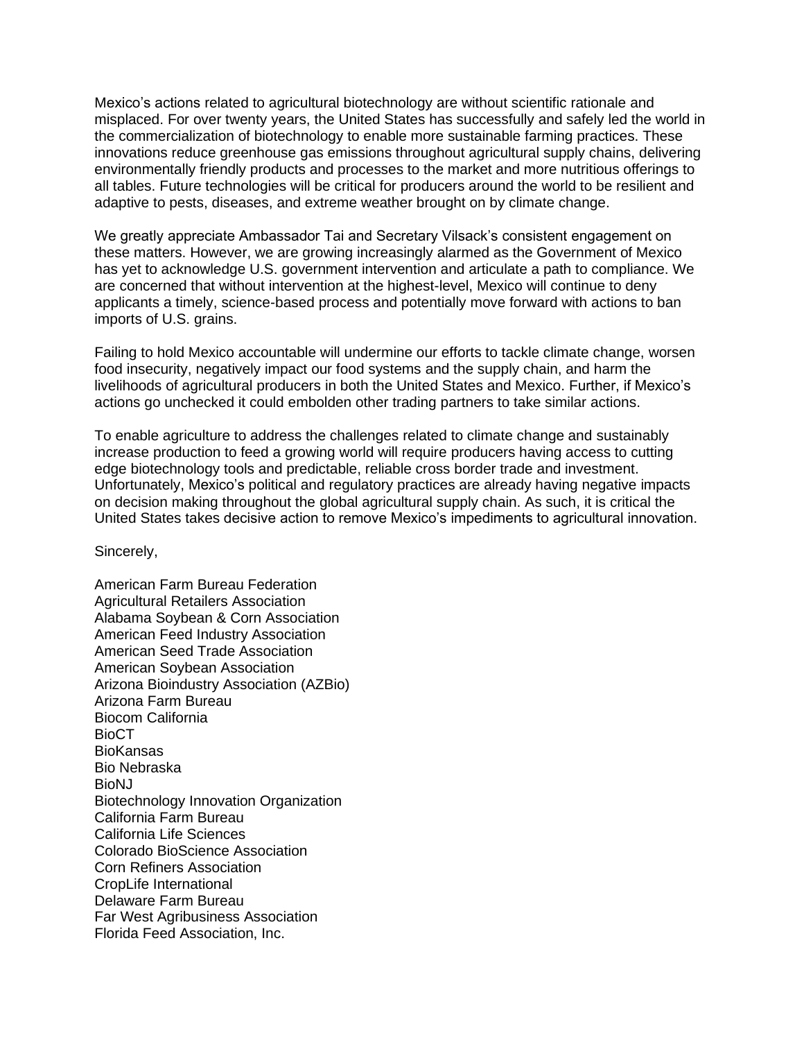Mexico's actions related to agricultural biotechnology are without scientific rationale and misplaced. For over twenty years, the United States has successfully and safely led the world in the commercialization of biotechnology to enable more sustainable farming practices. These innovations reduce greenhouse gas emissions throughout agricultural supply chains, delivering environmentally friendly products and processes to the market and more nutritious offerings to all tables. Future technologies will be critical for producers around the world to be resilient and adaptive to pests, diseases, and extreme weather brought on by climate change.

We greatly appreciate Ambassador Tai and Secretary Vilsack's consistent engagement on these matters. However, we are growing increasingly alarmed as the Government of Mexico has yet to acknowledge U.S. government intervention and articulate a path to compliance. We are concerned that without intervention at the highest-level, Mexico will continue to deny applicants a timely, science-based process and potentially move forward with actions to ban imports of U.S. grains.

Failing to hold Mexico accountable will undermine our efforts to tackle climate change, worsen food insecurity, negatively impact our food systems and the supply chain, and harm the livelihoods of agricultural producers in both the United States and Mexico. Further, if Mexico's actions go unchecked it could embolden other trading partners to take similar actions.

To enable agriculture to address the challenges related to climate change and sustainably increase production to feed a growing world will require producers having access to cutting edge biotechnology tools and predictable, reliable cross border trade and investment. Unfortunately, Mexico's political and regulatory practices are already having negative impacts on decision making throughout the global agricultural supply chain. As such, it is critical the United States takes decisive action to remove Mexico's impediments to agricultural innovation.

Sincerely,

American Farm Bureau Federation Agricultural Retailers Association Alabama Soybean & Corn Association American Feed Industry Association American Seed Trade Association American Soybean Association Arizona Bioindustry Association (AZBio) Arizona Farm Bureau Biocom California **BioCT BioKansas** Bio Nebraska BioNJ Biotechnology Innovation Organization California Farm Bureau California Life Sciences Colorado BioScience Association Corn Refiners Association CropLife International Delaware Farm Bureau Far West Agribusiness Association Florida Feed Association, Inc.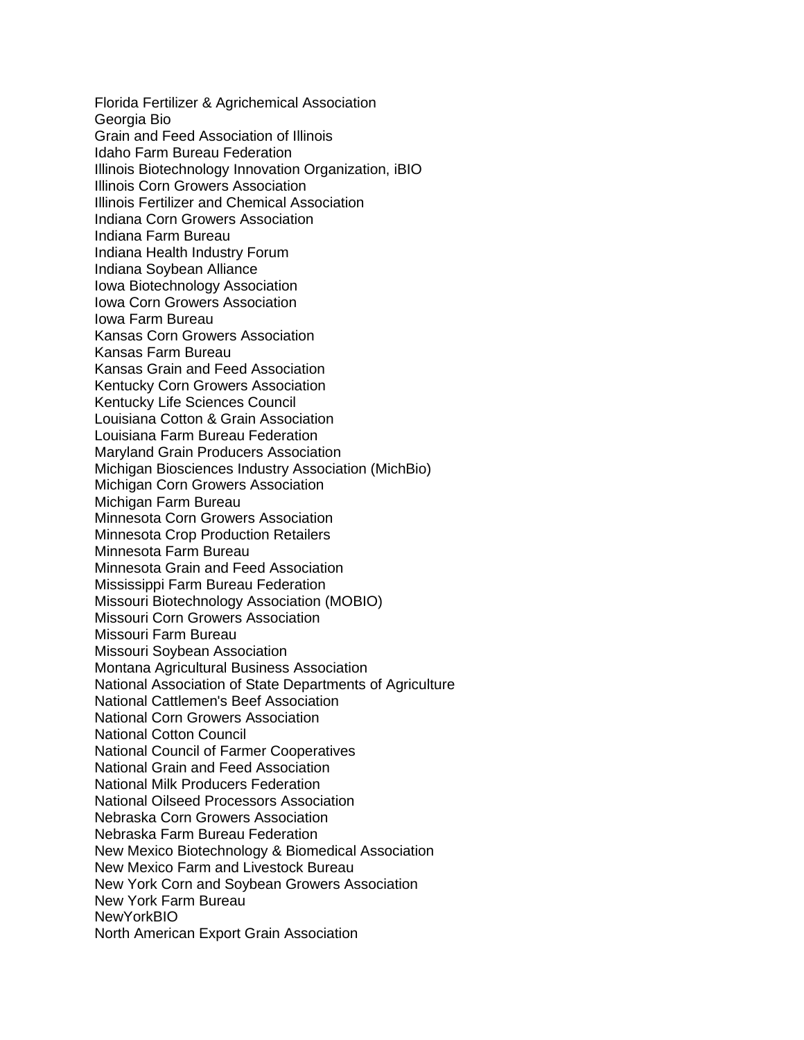Florida Fertilizer & Agrichemical Association Georgia Bio Grain and Feed Association of Illinois Idaho Farm Bureau Federation Illinois Biotechnology Innovation Organization, iBIO Illinois Corn Growers Association Illinois Fertilizer and Chemical Association Indiana Corn Growers Association Indiana Farm Bureau Indiana Health Industry Forum Indiana Soybean Alliance Iowa Biotechnology Association Iowa Corn Growers Association Iowa Farm Bureau Kansas Corn Growers Association Kansas Farm Bureau Kansas Grain and Feed Association Kentucky Corn Growers Association Kentucky Life Sciences Council Louisiana Cotton & Grain Association Louisiana Farm Bureau Federation Maryland Grain Producers Association Michigan Biosciences Industry Association (MichBio) Michigan Corn Growers Association Michigan Farm Bureau Minnesota Corn Growers Association Minnesota Crop Production Retailers Minnesota Farm Bureau Minnesota Grain and Feed Association Mississippi Farm Bureau Federation Missouri Biotechnology Association (MOBIO) Missouri Corn Growers Association Missouri Farm Bureau Missouri Soybean Association Montana Agricultural Business Association National Association of State Departments of Agriculture National Cattlemen's Beef Association National Corn Growers Association National Cotton Council National Council of Farmer Cooperatives National Grain and Feed Association National Milk Producers Federation National Oilseed Processors Association Nebraska Corn Growers Association Nebraska Farm Bureau Federation New Mexico Biotechnology & Biomedical Association New Mexico Farm and Livestock Bureau New York Corn and Soybean Growers Association New York Farm Bureau **NewYorkBIO** North American Export Grain Association